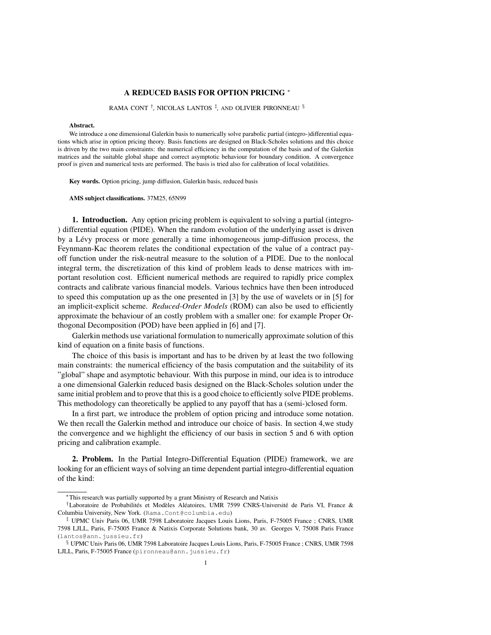#### A REDUCED BASIS FOR OPTION PRICING <sup>∗</sup>

RAMA CONT † , NICOLAS LANTOS ‡ , AND OLIVIER PIRONNEAU §

#### Abstract.

We introduce a one dimensional Galerkin basis to numerically solve parabolic partial (integro-)differential equations which arise in option pricing theory. Basis functions are designed on Black-Scholes solutions and this choice is driven by the two main constraints: the numerical efficiency in the computation of the basis and of the Galerkin matrices and the suitable global shape and correct asymptotic behaviour for boundary condition. A convergence proof is given and numerical tests are performed. The basis is tried also for calibration of local volatilities.

Key words. Option pricing, jump diffusion, Galerkin basis, reduced basis

AMS subject classifications. 37M25, 65N99

1. Introduction. Any option pricing problem is equivalent to solving a partial (integro-) differential equation (PIDE). When the random evolution of the underlying asset is driven by a Lévy process or more generally a time inhomogeneous jump-diffusion process, the Feynmann-Kac theorem relates the conditional expectation of the value of a contract payoff function under the risk-neutral measure to the solution of a PIDE. Due to the nonlocal integral term, the discretization of this kind of problem leads to dense matrices with important resolution cost. Efficient numerical methods are required to rapidly price complex contracts and calibrate various financial models. Various technics have then been introduced to speed this computation up as the one presented in [3] by the use of wavelets or in [5] for an implicit-explicit scheme. *Reduced-Order Models* (ROM) can also be used to efficiently approximate the behaviour of an costly problem with a smaller one: for example Proper Orthogonal Decomposition (POD) have been applied in [6] and [7].

Galerkin methods use variational formulation to numerically approximate solution of this kind of equation on a finite basis of functions.

The choice of this basis is important and has to be driven by at least the two following main constraints: the numerical efficiency of the basis computation and the suitability of its "global" shape and asymptotic behaviour. With this purpose in mind, our idea is to introduce a one dimensional Galerkin reduced basis designed on the Black-Scholes solution under the same initial problem and to prove that this is a good choice to efficiently solve PIDE problems. This methodology can theoretically be applied to any payoff that has a (semi-)closed form.

In a first part, we introduce the problem of option pricing and introduce some notation. We then recall the Galerkin method and introduce our choice of basis. In section 4,we study the convergence and we highlight the efficiency of our basis in section 5 and 6 with option pricing and calibration example.

2. Problem. In the Partial Integro-Differential Equation (PIDE) framework, we are looking for an efficient ways of solving an time dependent partial integro-differential equation of the kind:

<sup>∗</sup>This research was partially supported by a grant Ministry of Research and Natixis

<sup>&</sup>lt;sup>†</sup>Laboratoire de Probabilités et Modèles Aléatoires, UMR 7599 CNRS-Université de Paris VI, France & Columbia University, New York. (Rama.Cont@columbia.edu)

<sup>‡</sup> UPMC Univ Paris 06, UMR 7598 Laboratoire Jacques Louis Lions, Paris, F-75005 France ; CNRS, UMR 7598 LJLL, Paris, F-75005 France & Natixis Corporate Solutions bank, 30 av. Georges V, 75008 Paris France (lantos@ann.jussieu.fr)

<sup>§</sup> UPMC Univ Paris 06, UMR 7598 Laboratoire Jacques Louis Lions, Paris, F-75005 France ; CNRS, UMR 7598 LJLL, Paris, F-75005 France (pironneau@ann.jussieu.fr)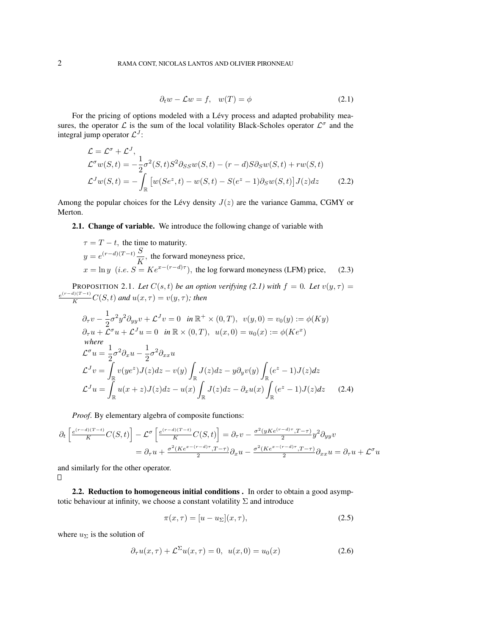$$
\partial_t w - \mathcal{L}w = f, \quad w(T) = \phi \tag{2.1}
$$

For the pricing of options modeled with a Lévy process and adapted probability measures, the operator  $\mathcal L$  is the sum of the local volatility Black-Scholes operator  $\mathcal L^{\sigma}$  and the integral jump operator  $\mathcal{L}^{J}$ :

$$
\mathcal{L} = \mathcal{L}^{\sigma} + \mathcal{L}^{J},
$$
  
\n
$$
\mathcal{L}^{\sigma}w(S,t) = -\frac{1}{2}\sigma^{2}(S,t)S^{2}\partial_{SS}w(S,t) - (r-d)S\partial_{S}w(S,t) + rw(S,t)
$$
  
\n
$$
\mathcal{L}^{J}w(S,t) = -\int_{\mathbb{R}} \left[w(Se^{z},t) - w(S,t) - S(e^{z} - 1)\partial_{S}w(S,t)\right]J(z)dz
$$
\n(2.2)

Among the popular choices for the Lévy density  $J(z)$  are the variance Gamma, CGMY or Merton.

## 2.1. Change of variable. We introduce the following change of variable with

$$
\tau = T - t
$$
, the time to maturity.  
\n
$$
y = e^{(r-d)(T-t)} \frac{S}{K}
$$
, the forward moneyness price,  
\n
$$
x = \ln y \ (i.e. \ S = Ke^{x-(r-d)\tau})
$$
, the log forward moneyness (LFM) price, (2.3)

PROPOSITION 2.1. Let  $C(s,t)$  be an option verifying (2.1) with  $f = 0$ . Let  $v(y, \tau) =$  $\frac{e^{(r-d)(T-t)}}{K}C(S,t)$  and  $u(x,\tau) = v(y,\tau)$ ; then

$$
\partial_{\tau}v - \frac{1}{2}\sigma^2 y^2 \partial_{yy}v + \mathcal{L}^J v = 0 \quad \text{in } \mathbb{R}^+ \times (0, T), \quad v(y, 0) = v_0(y) := \phi(Ky)
$$
\n
$$
\partial_{\tau}u + \mathcal{L}^{\sigma}u + \mathcal{L}^J u = 0 \quad \text{in } \mathbb{R} \times (0, T), \quad u(x, 0) = u_0(x) := \phi(Ke^x)
$$
\nwhere\n
$$
\mathcal{L}^{\sigma}u = \frac{1}{2}\sigma^2 \partial_x u - \frac{1}{2}\sigma^2 \partial_{xx} u
$$
\n
$$
\mathcal{L}^J v = \int_{\mathbb{R}} v(ye^z)J(z)dz - v(y) \int_{\mathbb{R}} J(z)dz - y\partial_y v(y) \int_{\mathbb{R}} (e^z - 1)J(z)dz
$$
\n
$$
\mathcal{L}^J u = \int_{\mathbb{R}} u(x+z)J(z)dz - u(x) \int_{\mathbb{R}} J(z)dz - \partial_x u(x) \int_{\mathbb{R}} (e^z - 1)J(z)dz \qquad (2.4)
$$

*Proof*. By elementary algebra of composite functions:

$$
\partial_t \left[ \frac{e^{(r-d)(T-t)}}{K} C(S,t) \right] - \mathcal{L}^{\sigma} \left[ \frac{e^{(r-d)(T-t)}}{K} C(S,t) \right] = \partial_{\tau} v - \frac{\sigma^2 (yKe^{(r-d)\tau}, T-\tau)}{2} y^2 \partial_{yy} v
$$

$$
= \partial_{\tau} u + \frac{\sigma^2 (Ke^{x-(r-d)\tau}, T-\tau)}{2} \partial_x u - \frac{\sigma^2 (Ke^{x-(r-d)\tau}, T-\tau)}{2} \partial_{xx} u = \partial_{\tau} u + \mathcal{L}^{\sigma} u
$$

and similarly for the other operator.  $\Box$ 

2.2. Reduction to homogeneous initial conditions . In order to obtain a good asymptotic behaviour at infinity, we choose a constant volatility  $\Sigma$  and introduce

$$
\pi(x,\tau) = [u - u_{\Sigma}](x,\tau),\tag{2.5}
$$

where  $u_{\Sigma}$  is the solution of

$$
\partial_{\tau}u(x,\tau) + \mathcal{L}^{\Sigma}u(x,\tau) = 0, \quad u(x,0) = u_0(x) \tag{2.6}
$$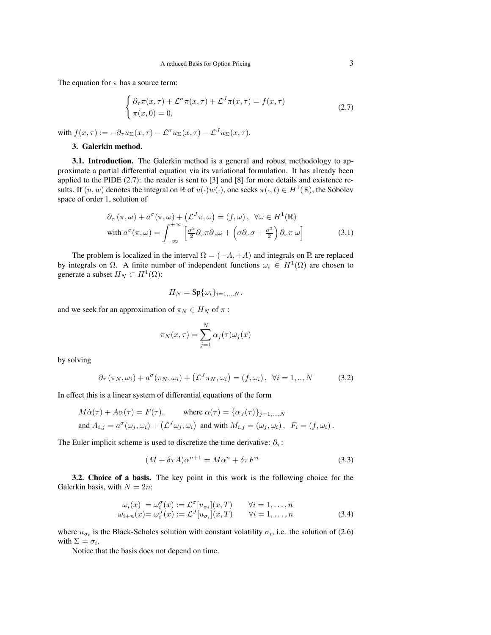The equation for  $\pi$  has a source term:

$$
\begin{cases} \partial_{\tau}\pi(x,\tau) + \mathcal{L}^{\sigma}\pi(x,\tau) + \mathcal{L}^{J}\pi(x,\tau) = f(x,\tau) \\ \pi(x,0) = 0, \end{cases}
$$
\n(2.7)

with  $f(x, \tau) := -\partial_{\tau} u_{\Sigma}(x, \tau) - \mathcal{L}^{\sigma} u_{\Sigma}(x, \tau) - \mathcal{L}^{J} u_{\Sigma}(x, \tau)$ .

### 3. Galerkin method.

3.1. Introduction. The Galerkin method is a general and robust methodology to approximate a partial differential equation via its variational formulation. It has already been applied to the PIDE (2.7): the reader is sent to [3] and [8] for more details and existence results. If  $(u, w)$  denotes the integral on  $\mathbb R$  of  $u(\cdot)w(\cdot)$ , one seeks  $\pi(\cdot, t) \in H^1(\mathbb R)$ , the Sobolev space of order 1, solution of

$$
\partial_{\tau} (\pi, \omega) + a^{\sigma} (\pi, \omega) + (\mathcal{L}^{J} \pi, \omega) = (f, \omega), \ \forall \omega \in H^{1}(\mathbb{R})
$$
  
with 
$$
a^{\sigma} (\pi, \omega) = \int_{-\infty}^{+\infty} \left[ \frac{\sigma^{2}}{2} \partial_{x} \pi \partial_{x} \omega + \left( \sigma \partial_{x} \sigma + \frac{\sigma^{2}}{2} \right) \partial_{x} \pi \omega \right]
$$
(3.1)

The problem is localized in the interval  $\Omega = (-A, +A)$  and integrals on R are replaced by integrals on  $\Omega$ . A finite number of independent functions  $\omega_i \in H^1(\Omega)$  are chosen to generate a subset  $H_N \subset H^1(\Omega)$ :

$$
H_N = \mathrm{Sp}\{\omega_i\}_{i=1,\dots,N}.
$$

and we seek for an approximation of  $\pi_N \in H_N$  of  $\pi$ :

$$
\pi_N(x,\tau) = \sum_{j=1}^N \alpha_j(\tau)\omega_j(x)
$$

by solving

$$
\partial_{\tau} (\pi_N, \omega_i) + a^{\sigma} (\pi_N, \omega_i) + (\mathcal{L}^J \pi_N, \omega_i) = (f, \omega_i), \quad \forall i = 1, ..., N \tag{3.2}
$$

In effect this is a linear system of differential equations of the form

$$
M\dot{\alpha}(\tau) + A\alpha(\tau) = F(\tau), \qquad \text{where } \alpha(\tau) = {\alpha_J(\tau)}_{j=1,\dots,N}
$$
  
and  $A_{i,j} = a^{\sigma}(\omega_j, \omega_i) + (L^J \omega_j, \omega_i)$  and with  $M_{i,j} = (\omega_j, \omega_i)$ ,  $F_i = (f, \omega_i)$ .

The Euler implicit scheme is used to discretize the time derivative:  $\partial_{\tau}$ :

$$
(M + \delta \tau A)\alpha^{n+1} = M\alpha^n + \delta \tau F^n \tag{3.3}
$$

3.2. Choice of a basis. The key point in this work is the following choice for the Galerkin basis, with  $N = 2n$ :

$$
\begin{array}{ll}\n\omega_i(x) = \omega_i^{\sigma}(x) := \mathcal{L}^{\sigma}[u_{\sigma_i}](x, T) & \forall i = 1, \dots, n \\
\omega_{i+n}(x) = \omega_i^J(x) := \mathcal{L}^J[u_{\sigma_i}](x, T) & \forall i = 1, \dots, n\n\end{array} \tag{3.4}
$$

where  $u_{\sigma_i}$  is the Black-Scholes solution with constant volatility  $\sigma_i$ , i.e. the solution of (2.6) with  $\Sigma = \sigma_i$ .

Notice that the basis does not depend on time.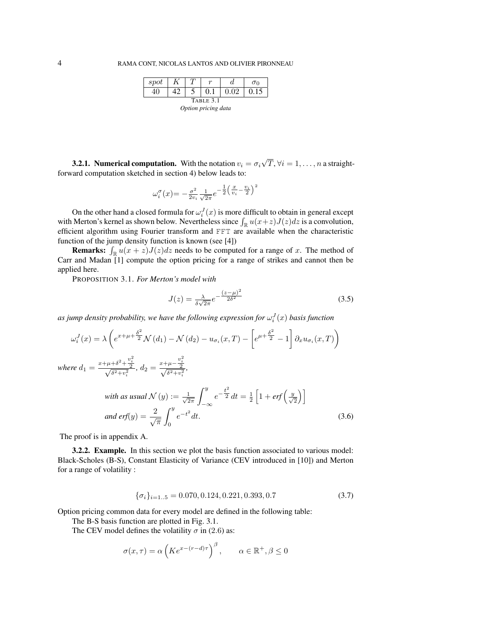| spot                |  |  |  |      | $\sigma$ |  |
|---------------------|--|--|--|------|----------|--|
|                     |  |  |  | 0.02 | 0.15     |  |
| TABLE 3.1           |  |  |  |      |          |  |
| Option pricing data |  |  |  |      |          |  |

**3.2.1. Numerical computation.** With the notation  $v_i = \sigma_i$ √  $T, \forall i = 1, \ldots, n$  a straightforward computation sketched in section 4) below leads to:

$$
\omega_i^{\sigma}(x) = -\frac{\sigma^2}{2v_i} \frac{1}{\sqrt{2\pi}} e^{-\frac{1}{2} \left(\frac{x}{v_i} - \frac{v_i}{2}\right)^2}
$$

On the other hand a closed formula for  $\omega_i^J(x)$  is more difficult to obtain in general except with Merton's kernel as shown below. Nevertheless since  $\int_{\mathbb{R}} u(x+z)J(z)dz$  is a convolution, efficient algorithm using Fourier transform and FFT are available when the characteristic function of the jump density function is known (see [4])

**Remarks:**  $\int_{\mathbb{R}} u(x+z)J(z)dz$  needs to be computed for a range of x. The method of Carr and Madan [1] compute the option pricing for a range of strikes and cannot then be applied here.

PROPOSITION 3.1. *For Merton's model with*

$$
J(z) = \frac{\lambda}{\delta\sqrt{2\pi}}e^{-\frac{(z-\mu)^2}{2\delta^2}}
$$
(3.5)

as jump density probability, we have the following expression for  $\omega_i^J(x)$  basis function

$$
\omega_i^J(x) = \lambda \left( e^{x + \mu + \frac{\delta^2}{2}} \mathcal{N}(d_1) - \mathcal{N}(d_2) - u_{\sigma_i}(x, T) - \left[ e^{\mu + \frac{\delta^2}{2}} - 1 \right] \partial_x u_{\sigma_i}(x, T) \right)
$$
  
\nwhere  $d_1 = \frac{x + \mu + \delta^2 + \frac{v_i^2}{2}}{\sqrt{\delta^2 + v_i^2}}$ ,  $d_2 = \frac{x + \mu - \frac{v_i^2}{2}}{\sqrt{\delta^2 + v_i^2}}$ ,  
\nwith as usual  $\mathcal{N}(u) := \frac{1}{\mu} \int_0^y e^{-\frac{t^2}{2}} dt - \frac{1}{2} \left[ 1 + erf\left(\frac{y}{2}\right) \right]$ 

with as usual 
$$
\mathcal{N}(y) := \frac{1}{\sqrt{2\pi}} \int_{-\infty}^{y} e^{-\frac{t^2}{2}} dt = \frac{1}{2} \left[ 1 + erf\left(\frac{y}{\sqrt{2}}\right) \right]
$$
  
and erf(y) =  $\frac{2}{\sqrt{\pi}} \int_{0}^{y} e^{-t^2} dt$ . (3.6)

The proof is in appendix A.

3.2.2. Example. In this section we plot the basis function associated to various model: Black-Scholes (B-S), Constant Elasticity of Variance (CEV introduced in [10]) and Merton for a range of volatility :

$$
\{\sigma_i\}_{i=1..5} = 0.070, 0.124, 0.221, 0.393, 0.7\tag{3.7}
$$

Option pricing common data for every model are defined in the following table:

The B-S basis function are plotted in Fig. 3.1.

The CEV model defines the volatility  $\sigma$  in (2.6) as:

$$
\sigma(x,\tau) = \alpha \left( K e^{x - (r - d)\tau} \right)^{\beta}, \qquad \alpha \in \mathbb{R}^+, \beta \le 0
$$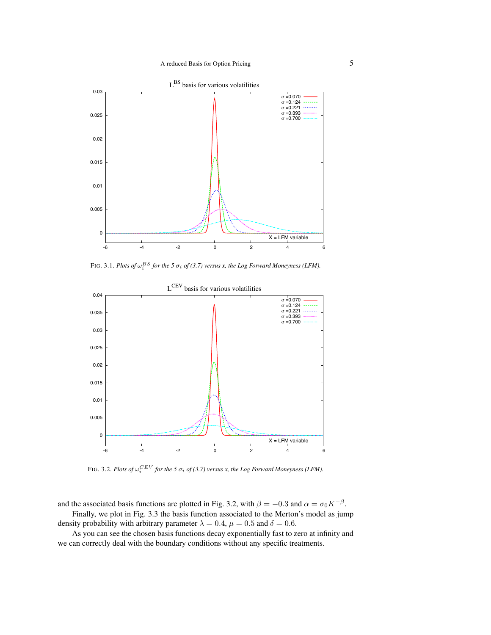

FIG. 3.1. *Plots of*  $\omega_i^{BS}$  for the 5  $\sigma_i$  of (3.7) versus x, the Log Forward Moneyness (LFM).



FIG. 3.2. *Plots of*  $\omega_i^{CEV}$  for the 5  $\sigma_i$  of (3.7) versus x, the Log Forward Moneyness (LFM).

and the associated basis functions are plotted in Fig. 3.2, with  $\beta = -0.3$  and  $\alpha = \sigma_0 K^{-\beta}$ . Finally, we plot in Fig. 3.3 the basis function associated to the Merton's model as jump

density probability with arbitrary parameter  $\lambda = 0.4$ ,  $\mu = 0.5$  and  $\delta = 0.6$ .

As you can see the chosen basis functions decay exponentially fast to zero at infinity and we can correctly deal with the boundary conditions without any specific treatments.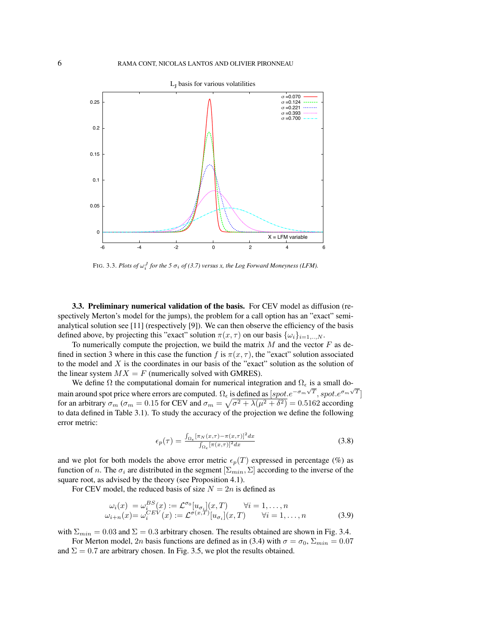

FIG. 3.3. *Plots of*  $\omega_i^J$  *for the* 5  $\sigma_i$  *of* (3.7) versus x, the Log Forward Moneyness (LFM).

3.3. Preliminary numerical validation of the basis. For CEV model as diffusion (respectively Merton's model for the jumps), the problem for a call option has an "exact" semianalytical solution see [11] (respectively [9]). We can then observe the efficiency of the basis defined above, by projecting this "exact" solution  $\pi(x, \tau)$  on our basis  $\{\omega_i\}_{i=1,\dots,N}$ .

To numerically compute the projection, we build the matrix  $M$  and the vector  $F$  as defined in section 3 where in this case the function f is  $\pi(x, \tau)$ , the "exact" solution associated to the model and  $X$  is the coordinates in our basis of the "exact" solution as the solution of the linear system  $MX = F$  (numerically solved with GMRES).

We define  $\Omega$  the computational domain for numerical integration and  $\Omega_{\epsilon}$  is a small domain around spot price where errors are computed.  $\Omega_{\epsilon}$  is defined as  $[spot.e^{-\sigma_m\sqrt{T}}, spot.e^{\sigma_m\sqrt{T}}]$ for an arbitrary  $\sigma_m$  ( $\sigma_m = 0.15$  for CEV and  $\sigma_m = \sqrt{\sigma^2 + \lambda(\mu^2 + \delta^2)} = 0.5162$  according to data defined in Table 3.1). To study the accuracy of the projection we define the following error metric:

$$
\epsilon_p(\tau) = \frac{\int_{\Omega_{\epsilon}} [\pi_N(x,\tau) - \pi(x,\tau)]^2 dx}{\int_{\Omega_{\epsilon}} [\pi(x,\tau)]^2 dx}
$$
(3.8)

and we plot for both models the above error metric  $\epsilon_p(T)$  expressed in percentage (%) as function of n. The  $\sigma_i$  are distributed in the segment  $[\Sigma_{min}, \Sigma]$  according to the inverse of the square root, as advised by the theory (see Proposition 4.1).

For CEV model, the reduced basis of size  $N = 2n$  is defined as

$$
\omega_i(x) = \omega_i^{BS}(x) := \mathcal{L}^{\sigma_0}[u_{\sigma_i}](x,T) \quad \forall i = 1,\dots,n
$$
  

$$
\omega_{i+n}(x) = \omega_i^{CEV}(x) := \mathcal{L}^{\sigma(x,T)}[u_{\sigma_i}](x,T) \quad \forall i = 1,\dots,n
$$
 (3.9)

with  $\Sigma_{min} = 0.03$  and  $\Sigma = 0.3$  arbitrary chosen. The results obtained are shown in Fig. 3.4.

For Merton model, 2n basis functions are defined as in (3.4) with  $\sigma = \sigma_0$ ,  $\Sigma_{min} = 0.07$ and  $\Sigma = 0.7$  are arbitrary chosen. In Fig. 3.5, we plot the results obtained.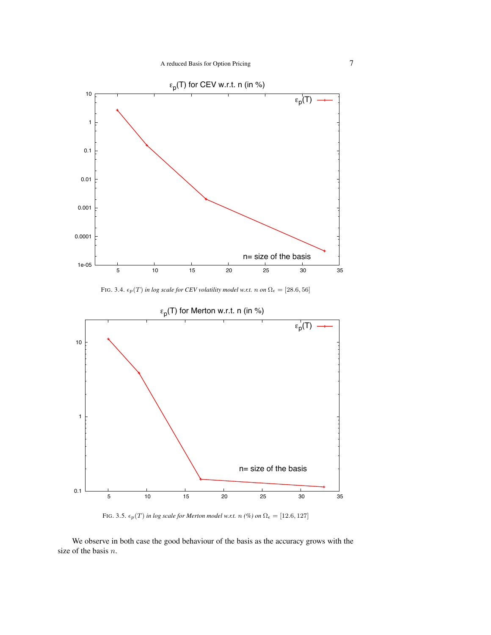

FIG. 3.4.  $\epsilon_p(T)$  *in log scale for CEV volatility model w.r.t.* n on  $\Omega_{\epsilon} = [28.6, 56]$ 



FIG. 3.5.  $\epsilon_p(T)$  *in log scale for Merton model w.r.t.*  $n$  *(%) on*  $\Omega_{\epsilon} = [12.6, 127]$ 

We observe in both case the good behaviour of the basis as the accuracy grows with the size of the basis n.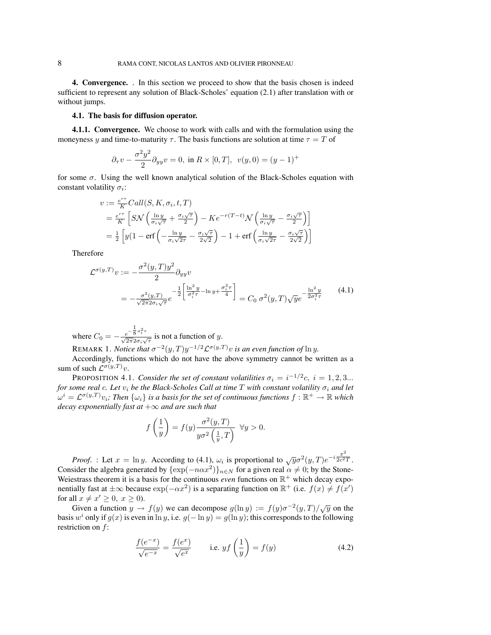4. Convergence. . In this section we proceed to show that the basis chosen is indeed sufficient to represent any solution of Black-Scholes' equation (2.1) after translation with or without jumps.

#### 4.1. The basis for diffusion operator.

4.1.1. Convergence. We choose to work with calls and with the formulation using the moneyness y and time-to-maturity  $\tau$ . The basis functions are solution at time  $\tau = T$  of

$$
\partial_{\tau}v - \frac{\sigma^2 y^2}{2} \partial_{yy}v = 0
$$
, in  $R \times [0, T]$ ,  $v(y, 0) = (y - 1)^+$ 

for some  $\sigma$ . Using the well known analytical solution of the Black-Scholes equation with constant volatility  $\sigma_i$ :

$$
v := \frac{e^{r\tau}}{K} Call(S, K, \sigma_i, t, T)
$$
  
=  $\frac{e^{r\tau}}{K} \left[ SN \left( \frac{\ln y}{\sigma_i \sqrt{\tau}} + \frac{\sigma_i \sqrt{\tau}}{2} \right) - Ke^{-r(T-t)} \mathcal{N} \left( \frac{\ln y}{\sigma_i \sqrt{\tau}} - \frac{\sigma_i \sqrt{\tau}}{2} \right) \right]$   
=  $\frac{1}{2} \left[ y(1 - \text{erf} \left( -\frac{\ln y}{\sigma_i \sqrt{2\tau}} - \frac{\sigma_i \sqrt{\tau}}{2\sqrt{2}} \right) - 1 + \text{erf} \left( \frac{\ln y}{\sigma_i \sqrt{2\tau}} - \frac{\sigma_i \sqrt{\tau}}{2\sqrt{2}} \right) \right]$ 

Therefore

$$
\mathcal{L}^{\sigma(y,T)}v := -\frac{\sigma^2(y,T)y^2}{2}\partial_{yy}v \n= -\frac{\sigma^2(y,T)}{\sqrt{2\pi}2\sigma_i\sqrt{\tau}}e^{-\frac{1}{2}\left[\frac{\ln^2 y}{\sigma_i^2 \tau} - \ln y + \frac{\sigma_i^2 \tau}{4}\right]} = C_0 \sigma^2(y,T)\sqrt{y}e^{-\frac{\ln^2 y}{2\sigma_i^2 \tau}}
$$
\n(4.1)

where  $C_0 = -\frac{e^{-\frac{1}{8}\sigma_i^2 \tau}}{\sqrt{2\pi}2\sigma_i\sqrt{\tau}}$  is not a function of y.

REMARK 1. *Notice that*  $\sigma^{-2}(y,T)y^{-1/2} \mathcal{L}^{\sigma(y,T)} v$  *is an even function of*  $\ln y$ . Accordingly, functions which do not have the above symmetry cannot be written as a

sum of such  $\mathcal{L}^{\sigma(y,T)}v$ . PROPOSITION 4.1. *Consider the set of constant volatilities*  $\sigma_i = i^{-1/2}c, i = 1, 2, 3...$ *for some real c. Let*  $v_i$  *be the Black-Scholes Call at time*  $T$  *with constant volatility*  $\sigma_i$  *and let*  $\omega^i=\mathcal{L}^{\sigma(y,T)}v_i$ ; Then  $\{\omega_i\}$  is a basis for the set of continuous functions  $f:\mathbb{R}^+\to\mathbb{R}$  which *decay exponentially fast at* +∞ *and are such that*

$$
f\left(\frac{1}{y}\right) = f(y) \frac{\sigma^2(y,T)}{y\sigma^2\left(\frac{1}{y},T\right)} \quad \forall y > 0.
$$

*Proof.* : Let  $x = \ln y$ . According to (4.1),  $\omega_i$  is proportional to  $\sqrt{y} \sigma^2(y, T) e^{-i \frac{x^2}{2c^2}}$  $2c^2T$ . Consider the algebra generated by  $\{\exp(-n\alpha x^2)\}_{n\in\mathbb{N}}$  for a given real  $\alpha \neq 0$ ; by the Stone-Weiestrass theorem it is a basis for the continuous *even* functions on  $\mathbb{R}^+$  which decay exponentially fast at  $\pm \infty$  because  $\exp(-\alpha x^2)$  is a separating function on  $\mathbb{R}^+$  (i.e.  $f(x) \neq f(x')$ ) for all  $x \neq x' \geq 0$ ,  $x \geq 0$ ).

 $\lim_{x \to a} f(x) = 0$ ,  $x \ge 0$ .<br>Given a function  $y \to f(y)$  we can decompose  $g(\ln y) := f(y)\sigma^{-2}(y,T)/\sqrt{y}$  on the basis w<sup>*i*</sup> only if  $g(x)$  is even in ln y, i.e.  $g(-\ln y) = g(\ln y)$ ; this corresponds to the following restriction on f:

$$
\frac{f(e^{-x})}{\sqrt{e^{-x}}} = \frac{f(e^x)}{\sqrt{e^x}} \qquad \text{i.e. } yf\left(\frac{1}{y}\right) = f(y) \tag{4.2}
$$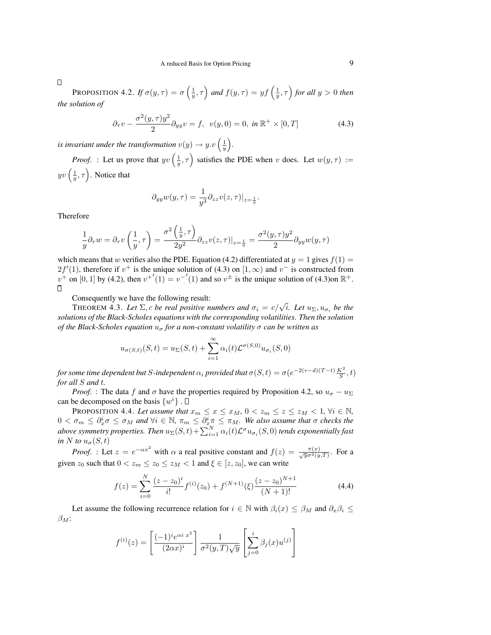$\Box$ 

PROPOSITION 4.2. *If*  $\sigma(y,\tau) = \sigma\left(\frac{1}{y},\tau\right)$  and  $f(y,\tau) = yf\left(\frac{1}{y},\tau\right)$  for all  $y > 0$  then *the solution of*

$$
\partial_{\tau} v - \frac{\sigma^2(y, \tau)y^2}{2} \partial_{yy} v = f, \ \ v(y, 0) = 0, \ \ \text{in} \ \mathbb{R}^+ \times [0, T] \tag{4.3}
$$

*is invariant under the transformation*  $v(y) \to y.v \left(\frac{1}{y}\right)$ .

*Proof.* : Let us prove that  $yv\left(\frac{1}{y}, \tau\right)$  satisfies the PDE when v does. Let  $w(y, \tau) :=$  $yv\left(\frac{1}{y},\tau\right)$ . Notice that

$$
\partial_{yy}w(y,\tau)=\frac{1}{y^3}\partial_{zz}v(z,\tau)|_{z=\frac{1}{y}}.
$$

Therefore

$$
\frac{1}{y}\partial_\tau w=\partial_\tau v\left(\frac{1}{y},\tau\right)=\frac{\sigma^2\left(\frac{1}{y},\tau\right)}{2y^2}\partial_{zz}v(z,\tau)|_{z=\frac{1}{y}}=\frac{\sigma^2(y,\tau)y^2}{2}\partial_{yy}w(y,\tau)
$$

which means that w verifies also the PDE. Equation (4.2) differentiated at  $y = 1$  gives  $f(1) =$  $2f'(1)$ , therefore if  $v^+$  is the unique solution of (4.3) on  $[1,\infty)$  and  $v^-$  is constructed from  $v^+$  on [0, 1] by (4.2), then  $v^{+'}(1) = v^{-'}(1)$  and so  $v^{\pm}$  is the unique solution of (4.3)on  $\mathbb{R}^+$ .  $\Box$ 

Consequently we have the following result:

**THEOREM 4.3.** Let  $\Sigma$ , c be real positive numbers and  $\sigma_i = c/\sqrt{i}$ . Let  $u_{\Sigma}, u_{\sigma_i}$  be the *solutions of the Black-Scholes equations with the corresponding volatilities. Then the solution of the Black-Scholes equation*  $u_{\sigma}$  *for a non-constant volatility*  $\sigma$  *can be written as* 

$$
u_{\sigma(S,t)}(S,t) = u_{\Sigma}(S,t) + \sum_{i=1}^{\infty} \alpha_i(t) \mathcal{L}^{\sigma(S,0)} u_{\sigma_i}(S,0)
$$

*for some time dependent but*  $S$ -independent  $\alpha_i$  *provided that*  $\sigma(S,t) = \sigma(e^{-2(r-d)(T-t)}\frac{K^2}{S},t)$ *for all* S *and* t*.*

*Proof.* : The data f and  $\sigma$  have the properties required by Proposition 4.2, so  $u_{\sigma} - u_{\Sigma}$ can be decomposed on the basis  $\{w^i\}$ .

PROPOSITION 4.4. Let assume that  $x_m \leq x \leq x_M$ ,  $0 < z_m \leq z \leq z_M < 1$ ,  $\forall i \in \mathbb{N}$ ,  $0<\sigma_m\leq\partial_x^i\sigma\leq\sigma_M$  and  $\forall i\in\mathbb{N}$ ,  $\pi_m\leq\partial_x^i\pi\leq\pi_M$ . We also assume that  $\sigma$  checks the above symmetry properties. Then  $u_{\Sigma}(S,t)+\sum_{i=1}^N \alpha_i(t) \mathcal{L}^\sigma u_{\sigma_i}(S,0)$  tends exponentially fast *in* N *to*  $u_{\sigma}(S, t)$ 

*Proof.* : Let  $z = e^{-\alpha x^2}$  with  $\alpha$  a real positive constant and  $f(z) = \frac{\pi(x)}{\sqrt{y} \sigma^2(y,T)}$ . For a given  $z_0$  such that  $0 < z_m \le z_0 \le z_M < 1$  and  $\xi \in [z, z_0]$ , we can write

$$
f(z) = \sum_{i=0}^{N} \frac{(z - z_0)^i}{i!} f^{(i)}(z_0) + f^{(N+1)}(\xi) \frac{(z - z_0)^{N+1}}{(N+1)!}
$$
(4.4)

Let assume the following recurrence relation for  $i \in \mathbb{N}$  with  $\beta_i(x) \leq \beta_M$  and  $\partial_x \beta_i \leq$  $\beta_M$ :

$$
f^{(i)}(z) = \left[\frac{(-1)^i e^{\alpha i x^2}}{(2\alpha x)^i}\right] \frac{1}{\sigma^2(y,T)\sqrt{y}} \left[\sum_{j=0}^i \beta_j(x) u^{(j)}\right]
$$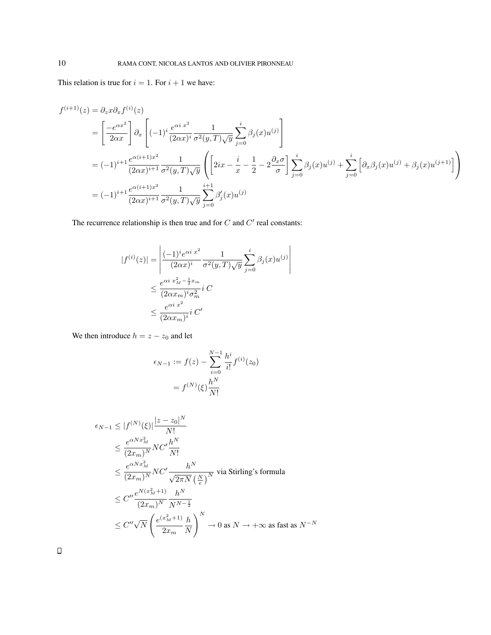This relation is true for  $i = 1$ . For  $i + 1$  we have:

$$
f^{(i+1)}(z) = \partial_z x \partial_x f^{(i)}(z)
$$
  
=  $\left[ \frac{-e^{\alpha x^2}}{2\alpha x} \right] \partial_x \left[ (-1)^i \frac{e^{\alpha i x^2}}{(2\alpha x)^i} \frac{1}{\sigma^2(y, T)\sqrt{y}} \sum_{j=0}^i \beta_j(x) u^{(j)} \right]$   
=  $(-1)^{i+1} \frac{e^{\alpha (i+1)x^2}}{(2\alpha x)^{i+1}} \frac{1}{\sigma^2(y, T)\sqrt{y}} \left( \left[ 2ix - \frac{i}{x} - \frac{1}{2} - 2 \frac{\partial_x \sigma}{\sigma} \right] \sum_{j=0}^i \beta_j(x) u^{(j)} + \sum_{j=0}^i \left[ \partial_x \beta_j(x) u^{(j)} + \beta_j(x) u^{(j+1)} \right] \right)$   
=  $(-1)^{i+1} \frac{e^{\alpha (i+1)x^2}}{(2\alpha x)^{i+1}} \frac{1}{\sigma^2(y, T)\sqrt{y}} \sum_{j=0}^{i+1} \beta'_j(x) u^{(j)}$ 

The recurrence relationship is then true and for  $C$  and  $C'$  real constants:

$$
|f^{(i)}(z)| = \left| \frac{(-1)^i e^{\alpha i x^2}}{(2\alpha x)^i} \frac{1}{\sigma^2(y, T)\sqrt{y}} \sum_{j=0}^i \beta_j(x) u^{(j)} \right|
$$
  

$$
\leq \frac{e^{\alpha i x_M^2 - \frac{1}{2}x_m}}{(2\alpha x_m)^i \sigma_m^2} i C
$$
  

$$
\leq \frac{e^{\alpha i x^2}}{(2\alpha x_m)^i} i C'
$$

We then introduce  $h = z - z_0$  and let

$$
\epsilon_{N-1} := f(z) - \sum_{i=0}^{N-1} \frac{h^i}{i!} f^{(i)}(z_0)
$$

$$
= f^{(N)}(\xi) \frac{h^N}{N!}
$$

$$
\epsilon_{N-1} \leq |f^{(N)}(\xi)| \frac{|z - z_0|^N}{N!}
$$
\n
$$
\leq \frac{e^{\alpha N x_M^2}}{(2x_m)^N} NC' \frac{h^N}{N!}
$$
\n
$$
\leq \frac{e^{\alpha N x_M^2}}{(2x_m)^N} NC' \frac{h^N}{\sqrt{2\pi N}} \text{ via Stirling's formula}
$$
\n
$$
\leq C'' \frac{e^{N(x_M^2 + 1)}}{(2x_m)^N} \frac{h^N}{N^{N - \frac{1}{2}}}
$$
\n
$$
\leq C'' \sqrt{N} \left(\frac{e^{(x_M^2 + 1)}}{2x_m} \frac{h}{N}\right)^N \to 0 \text{ as } N \to +\infty \text{ as fast as } N^{-N}
$$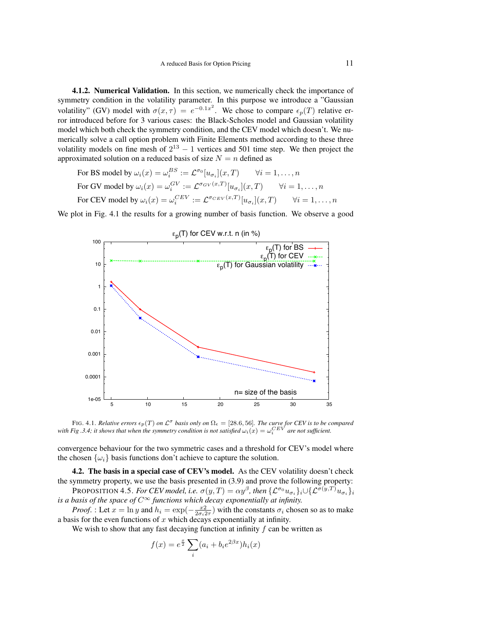4.1.2. Numerical Validation. In this section, we numerically check the importance of symmetry condition in the volatility parameter. In this purpose we introduce a "Gaussian volatility" (GV) model with  $\sigma(x, \tau) = e^{-0.1x^2}$ . We chose to compare  $\epsilon_p(T)$  relative error introduced before for 3 various cases: the Black-Scholes model and Gaussian volatility model which both check the symmetry condition, and the CEV model which doesn't. We numerically solve a call option problem with Finite Elements method according to these three volatility models on fine mesh of  $2^{13} - 1$  vertices and 501 time step. We then project the approximated solution on a reduced basis of size  $N = n$  defined as

For BS model by 
$$
\omega_i(x) = \omega_i^{BS} := \mathcal{L}^{\sigma_0}[u_{\sigma_i}](x,T) \quad \forall i = 1,\ldots,n
$$
  
For GV model by  $\omega_i(x) = \omega_i^{GV} := \mathcal{L}^{\sigma_{GV}(x,T)}[u_{\sigma_i}](x,T) \quad \forall i = 1,\ldots,n$   
For CEV model by  $\omega_i(x) = \omega_i^{CEV} := \mathcal{L}^{\sigma_{CEV}(x,T)}[u_{\sigma_i}](x,T) \quad \forall i = 1,\ldots,n$ 

We plot in Fig. 4.1 the results for a growing number of basis function. We observe a good



FIG. 4.1. *Relative errors*  $\epsilon_p(T)$  *on*  $\mathcal{L}^{\sigma}$  *basis only on*  $\Omega_{\epsilon} = [28.6, 56]$ *. The curve for CEV is to be compared* with Fig .3.4; it shows that when the symmetry condition is not satisfied  $\omega_i(x) = \omega_i^{CEV}$  are not sufficient.

convergence behaviour for the two symmetric cases and a threshold for CEV's model where the chosen  $\{\omega_i\}$  basis functions don't achieve to capture the solution.

4.2. The basis in a special case of CEV's model. As the CEV volatility doesn't check the symmetry property, we use the basis presented in (3.9) and prove the following property:

PROPOSITION 4.5. *For CEV model, i.e.*  $\sigma(y,T)=\alpha y^\beta$ , then  $\{{\mathcal L}^{\sigma_0}u_{\sigma_i}\}_i\cup\{{\mathcal L}^{\sigma(y,T)}u_{\sigma_i}\}_i$ *is a basis of the space of*  $C^{\infty}$  *functions which decay exponentially at infinity.* 

*Proof.* : Let  $x = \ln y$  and  $h_i = \exp(-\frac{x^2}{2\sigma_i 2\tau})$  with the constants  $\sigma_i$  chosen so as to make a basis for the even functions of  $x$  which decays exponentially at infinity.

We wish to show that any fast decaying function at infinity  $f$  can be written as

$$
f(x) = e^{\frac{x}{2}} \sum_{i} (a_i + b_i e^{2\beta x}) h_i(x)
$$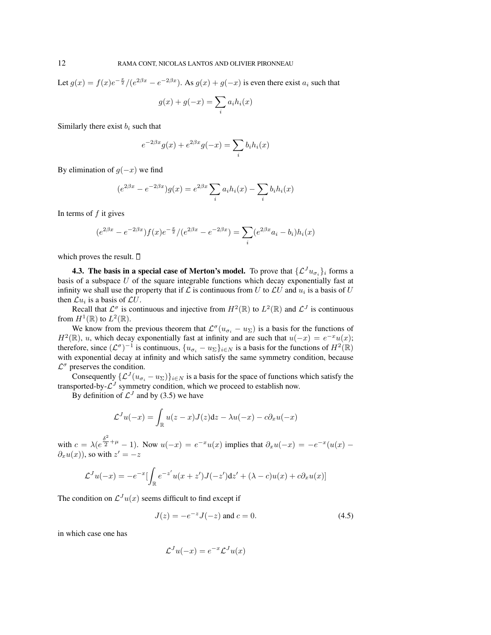Let  $g(x) = f(x)e^{-\frac{x}{2}}/(e^{2\beta x} - e^{-2\beta x})$ . As  $g(x) + g(-x)$  is even there exist  $a_i$  such that

$$
g(x) + g(-x) = \sum_i a_i h_i(x)
$$

Similarly there exist  $b_i$  such that

$$
e^{-2\beta x}g(x) + e^{2\beta x}g(-x) = \sum_i b_i h_i(x)
$$

By elimination of  $g(-x)$  we find

$$
(e^{2\beta x} - e^{-2\beta x})g(x) = e^{2\beta x} \sum_{i} a_i h_i(x) - \sum_{i} b_i h_i(x)
$$

In terms of  $f$  it gives

$$
(e^{2\beta x} - e^{-2\beta x})f(x)e^{-\frac{x}{2}}/(e^{2\beta x} - e^{-2\beta x}) = \sum_{i} (e^{2\beta x}a_i - b_i)h_i(x)
$$

which proves the result.  $\Box$ 

**4.3. The basis in a special case of Merton's model.** To prove that  $\{\mathcal{L}^J u_{\sigma_i}\}_i$  forms a basis of a subspace  $U$  of the square integrable functions which decay exponentially fast at infinity we shall use the property that if  $\mathcal L$  is continuous from U to  $\mathcal L U$  and  $u_i$  is a basis of U then  $\mathcal{L}u_i$  is a basis of  $\mathcal{L}U$ .

Recall that  $\mathcal{L}^{\sigma}$  is continuous and injective from  $H^2(\mathbb{R})$  to  $L^2(\mathbb{R})$  and  $\mathcal{L}^J$  is continuous from  $H^1(\mathbb{R})$  to  $L^2(\mathbb{R})$ .

We know from the previous theorem that  $\mathcal{L}^{\sigma}(u_{\sigma_i} - u_{\Sigma})$  is a basis for the functions of  $H^2(\mathbb{R})$ , u, which decay exponentially fast at infinity and are such that  $u(-x) = e^{-x}u(x)$ ; therefore, since  $(\mathcal{L}^{\sigma})^{-1}$  is continuous,  $\{u_{\sigma_i} - u_{\Sigma}\}_{i \in N}$  is a basis for the functions of  $H^2(\mathbb{R})$ with exponential decay at infinity and which satisfy the same symmetry condition, because  $\mathcal{L}^{\sigma}$  preserves the condition.

Consequently  $\{\mathcal{L}^{J}(u_{\sigma_i} - u_{\Sigma})\}_{i \in N}$  is a basis for the space of functions which satisfy the transported-by- $\mathcal{L}^{J}$  symmetry condition, which we proceed to establish now.

By definition of  $\mathcal{L}^{J}$  and by (3.5) we have

$$
\mathcal{L}^{J}u(-x) = \int_{\mathbb{R}} u(z-x)J(z)dz - \lambda u(-x) - c\partial_{x}u(-x)
$$

with  $c = \lambda (e^{\frac{\delta^2}{2}})$  $\frac{dy}{dx}$  +  $\mu$  - 1). Now  $u(-x) = e^{-x}u(x)$  implies that  $\partial_x u(-x) = -e^{-x}(u(x) - x)$  $\partial_x u(x)$ ), so with  $z' = -z$ 

$$
\mathcal{L}^{J}u(-x) = -e^{-x}\left[\int_{\mathbb{R}} e^{-z'}u(x+z')J(-z')dz' + (\lambda - c)u(x) + c\partial_x u(x)\right]
$$

The condition on  $\mathcal{L}^{J}u(x)$  seems difficult to find except if

$$
J(z) = -e^{-z}J(-z) \text{ and } c = 0.
$$
 (4.5)

in which case one has

$$
\mathcal{L}^{J}u(-x) = e^{-x} \mathcal{L}^{J}u(x)
$$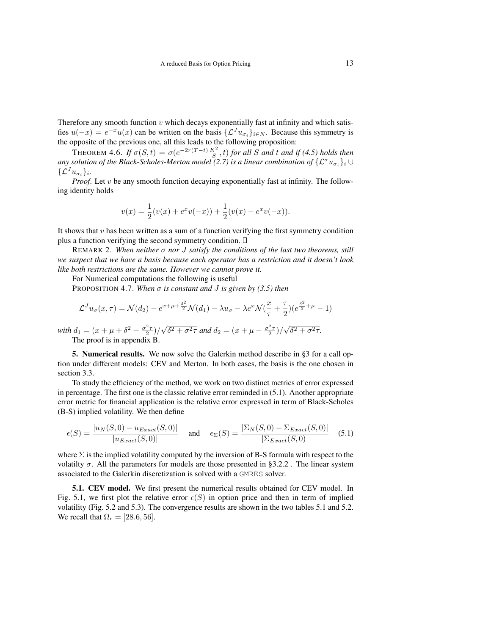Therefore any smooth function  $v$  which decays exponentially fast at infinity and which satisfies  $u(-x) = e^{-x}u(x)$  can be written on the basis  $\{\mathcal{L}^J u_{\sigma_i}\}_{i \in \mathbb{N}}$ . Because this symmetry is the opposite of the previous one, all this leads to the following proposition:

THEOREM 4.6. *If*  $\sigma(S,t) = \sigma(e^{-2r(T-t)}\frac{K^2}{S},t)$  *for all S and t and if (4.5) holds then* any solution of the Black-Scholes-Merton model (2.7) is a linear combination of  $\{{\mathcal L}^\sigma u_{\sigma_i}\}_i$   $\cup$  $\{\mathcal{L}^Ju_{\sigma_i}\}_i.$ 

*Proof.* Let v be any smooth function decaying exponentially fast at infinity. The following identity holds

$$
v(x) = \frac{1}{2}(v(x) + e^{x}v(-x)) + \frac{1}{2}(v(x) - e^{x}v(-x)).
$$

It shows that  $v$  has been written as a sum of a function verifying the first symmetry condition plus a function verifying the second symmetry condition.  $\Box$ 

REMARK 2. *When neither* σ *nor* J *satisfy the conditions of the last two theorems, still we suspect that we have a basis because each operator has a restriction and it doesn't look like both restrictions are the same. However we cannot prove it.*

For Numerical computations the following is useful

√

PROPOSITION 4.7. *When* σ *is constant and* J *is given by (3.5) then*

$$
\mathcal{L}^{J}u_{\sigma}(x,\tau)=\mathcal{N}(d_2)-e^{x+\mu+\frac{\delta^2}{2}}\mathcal{N}(d_1)-\lambda u_{\sigma}-\lambda e^{x}\mathcal{N}(\frac{x}{\tau}+\frac{\tau}{2})(e^{\frac{\delta^2}{2}+\mu}-1)
$$

 $\delta^2 + \sigma^2 \tau$  and  $d_2 = (x + \mu - \frac{\sigma^2 \tau}{2})/$ 

√

 $\delta^2 + \sigma^2 \tau$ .

*with*  $d_1 = (x + \mu + \delta^2 + \frac{\sigma^2 \tau}{2})/$ The proof is in appendix B.

5. Numerical results. We now solve the Galerkin method describe in §3 for a call option under different models: CEV and Merton. In both cases, the basis is the one chosen in section 3.3.

To study the efficiency of the method, we work on two distinct metrics of error expressed in percentage. The first one is the classic relative error reminded in (5.1). Another appropriate error metric for financial application is the relative error expressed in term of Black-Scholes (B-S) implied volatility. We then define

$$
\epsilon(S) = \frac{|u_N(S,0) - u_{Exact}(S,0)|}{|u_{Exact}(S,0)|} \quad \text{and} \quad \epsilon_\Sigma(S) = \frac{|\Sigma_N(S,0) - \Sigma_{Exact}(S,0)|}{|\Sigma_{Exact}(S,0)|} \quad (5.1)
$$

where  $\Sigma$  is the implied volatility computed by the inversion of B-S formula with respect to the volatilty  $\sigma$ . All the parameters for models are those presented in §3.2.2. The linear system associated to the Galerkin discretization is solved with a GMRES solver.

5.1. CEV model. We first present the numerical results obtained for CEV model. In Fig. 5.1, we first plot the relative error  $\epsilon(S)$  in option price and then in term of implied volatility (Fig. 5.2 and 5.3). The convergence results are shown in the two tables 5.1 and 5.2. We recall that  $\Omega_{\epsilon} = [28.6, 56]$ .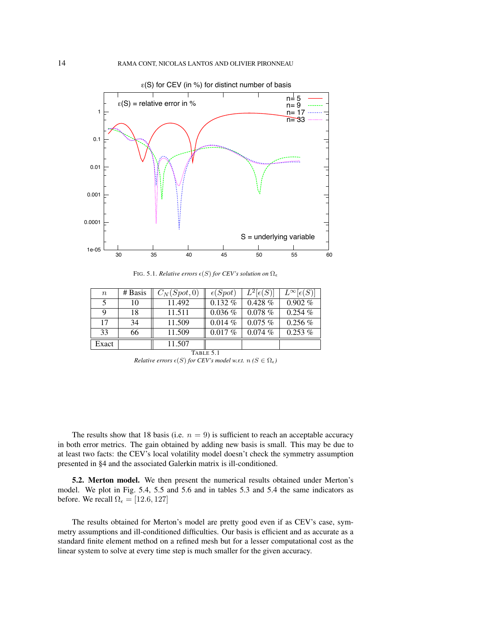

FIG. 5.1. *Relative errors*  $\epsilon(S)$  *for CEV's solution on*  $\Omega_{\epsilon}$ 

| $\, n$ | # Basis | $C_N(Spot, 0)$ | $\epsilon(Spot)$ | $L^2[\epsilon(S)]$ | $L^{\infty}[\epsilon(S)]$ |
|--------|---------|----------------|------------------|--------------------|---------------------------|
| 5      | 10      | 11.492         | $0.132\%$        | $0.428\%$          | $0.902\%$                 |
| 9      | 18      | 11.511         | $0.036\%$        | $0.078\%$          | $0.254\%$                 |
| 17     | 34      | 11.509         | $0.014\%$        | $0.075\%$          | $0.256\%$                 |
| 33     | 66      | 11.509         | $0.017\%$        | $0.074\%$          | $0.253\%$                 |
| Exact  |         | 11.507         |                  |                    |                           |

TABLE 5.1

*Relative errors*  $\epsilon(S)$  *for CEV's model w.r.t.*  $n (S \in \Omega_{\epsilon})$ 

The results show that 18 basis (i.e.  $n = 9$ ) is sufficient to reach an acceptable accuracy in both error metrics. The gain obtained by adding new basis is small. This may be due to at least two facts: the CEV's local volatility model doesn't check the symmetry assumption presented in §4 and the associated Galerkin matrix is ill-conditioned.

5.2. Merton model. We then present the numerical results obtained under Merton's model. We plot in Fig. 5.4, 5.5 and 5.6 and in tables 5.3 and 5.4 the same indicators as before. We recall  $\Omega_{\epsilon} = [12.6, 127]$ 

The results obtained for Merton's model are pretty good even if as CEV's case, symmetry assumptions and ill-conditioned difficulties. Our basis is efficient and as accurate as a standard finite element method on a refined mesh but for a lesser computational cost as the linear system to solve at every time step is much smaller for the given accuracy.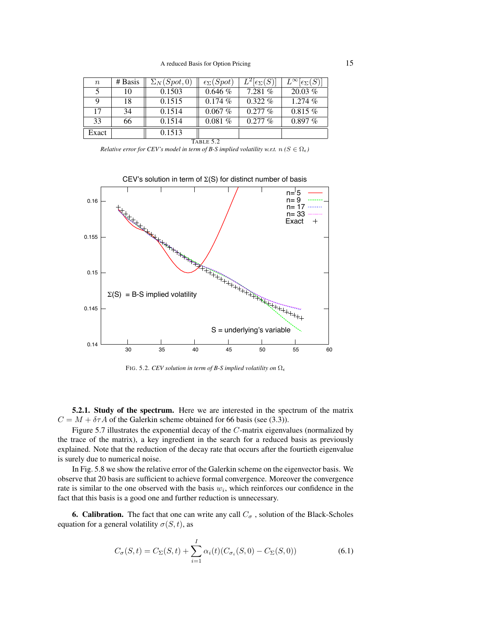| $\boldsymbol{n}$ | # Basis   | $\Sigma_N(Spot,0)$ | $\epsilon_{\Sigma}(Spot)$ | $L^2[\epsilon_{\Sigma}(S)]$ | $L^{\infty}[\epsilon_{\Sigma}(S)]$ |  |  |  |
|------------------|-----------|--------------------|---------------------------|-----------------------------|------------------------------------|--|--|--|
| 5                | 10        | 0.1503             | $0.646\%$                 | 7.281%                      | $20.03\%$                          |  |  |  |
| 9                | 18        | 0.1515             | 0.174%                    | $0.322\%$                   | 1.274 %                            |  |  |  |
| 17               | 34        | 0.1514             | $0.067\%$                 | $0.277\%$                   | $0.815\%$                          |  |  |  |
| 33               | 66        | 0.1514             | 0.081%                    | $0.277\%$                   | $0.897\ \overline{\%}$             |  |  |  |
| 0.1513<br>Exact  |           |                    |                           |                             |                                    |  |  |  |
|                  | TABLE 5.2 |                    |                           |                             |                                    |  |  |  |

*Relative error for CEV's model in term of B-S implied volatility w.r.t.*  $n (S \in \Omega_{\epsilon})$ 



FIG. 5.2. *CEV solution in term of B-S implied volatility on* Ω

5.2.1. Study of the spectrum. Here we are interested in the spectrum of the matrix  $C = M + \delta \tau A$  of the Galerkin scheme obtained for 66 basis (see (3.3)).

Figure 5.7 illustrates the exponential decay of the C-matrix eigenvalues (normalized by the trace of the matrix), a key ingredient in the search for a reduced basis as previously explained. Note that the reduction of the decay rate that occurs after the fourtieth eigenvalue is surely due to numerical noise.

In Fig. 5.8 we show the relative error of the Galerkin scheme on the eigenvector basis. We observe that 20 basis are sufficient to achieve formal convergence. Moreover the convergence rate is similar to the one observed with the basis  $w_i$ , which reinforces our confidence in the fact that this basis is a good one and further reduction is unnecessary.

6. Calibration. The fact that one can write any call  $C_{\sigma}$ , solution of the Black-Scholes equation for a general volatility  $\sigma(S, t)$ , as

$$
C_{\sigma}(S,t) = C_{\Sigma}(S,t) + \sum_{i=1}^{I} \alpha_i(t) (C_{\sigma_i}(S,0) - C_{\Sigma}(S,0))
$$
\n(6.1)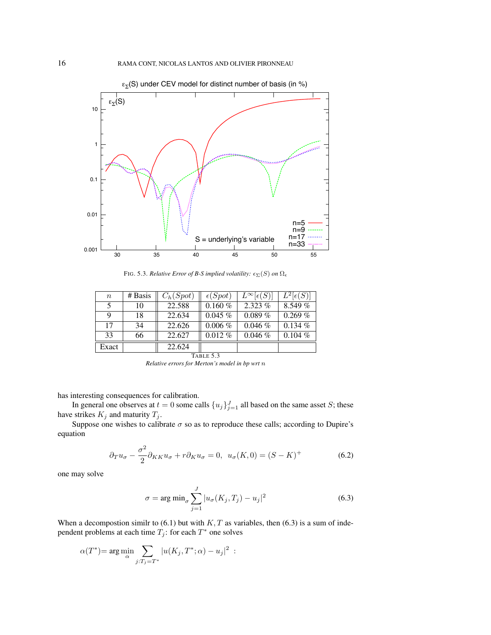

FIG. 5.3. *Relative Error of B-S implied volatility:*  $\epsilon_{\Sigma}(S)$  *on*  $\Omega_{\epsilon}$ 

| $\boldsymbol{n}$ | # Basis | $C_h(Spot)$ | $\epsilon(Spot)$ | $L^{\infty}[\epsilon(S)]$ | $L^2[\epsilon(S)]$ |  |  |
|------------------|---------|-------------|------------------|---------------------------|--------------------|--|--|
| 5                | 10      | 22.588      | $0.160\%$        | $2.323\%$                 | $8.549\%$          |  |  |
| 9                | 18      | 22.634      | $0.045\%$        | $0.089\%$                 | $0.269\%$          |  |  |
| 17               | 34      | 22.626      | $0.006\%$        | 0.046%                    | $0.134\%$          |  |  |
| 33<br>66         |         | 22.627      | $0.012\%$        | $0.046\%$                 | $0.104\%$          |  |  |
| Exact            |         | 22.624      |                  |                           |                    |  |  |
| TABLE 5.3        |         |             |                  |                           |                    |  |  |

*Relative errors for Merton's model in bp wrt* n

has interesting consequences for calibration.

In general one observes at  $t = 0$  some calls  $\{u_j\}_{j=1}^J$  all based on the same asset S; these have strikes  $K_j$  and maturity  $T_j$ .

Suppose one wishes to calibrate  $\sigma$  so as to reproduce these calls; according to Dupire's equation

$$
\partial_T u_\sigma - \frac{\sigma^2}{2} \partial_{KK} u_\sigma + r \partial_K u_\sigma = 0, \ \ u_\sigma(K,0) = (S - K)^+ \tag{6.2}
$$

one may solve

$$
\sigma = \arg \min_{\sigma} \sum_{j=1}^{J} |u_{\sigma}(K_j, T_j) - u_j|^2 \tag{6.3}
$$

When a decompostion similr to  $(6.1)$  but with  $K, T$  as variables, then  $(6.3)$  is a sum of independent problems at each time  $T_j$ : for each  $T^*$  one solves

$$
\alpha(T^*) = \arg\min_{\alpha} \sum_{j:T_j = T^*} |u(K_j, T^*; \alpha) - u_j|^2
$$
: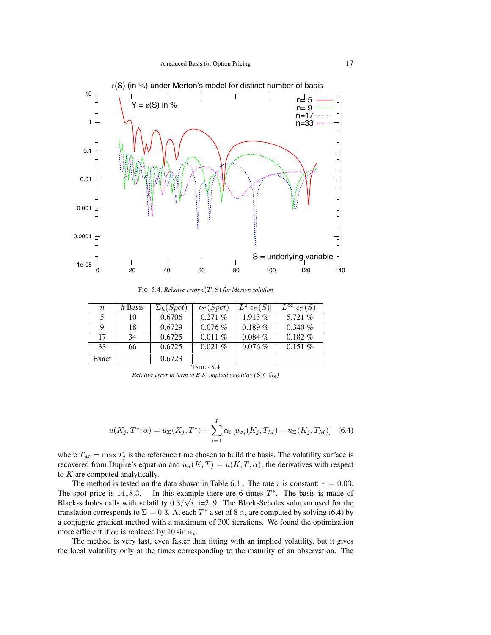

 $\varepsilon$ (S) (in %) under Merton's model for distinct number of basis

FIG. 5.4. *Relative error*  $\epsilon(T, S)$  *for Merton solution* 

| $\boldsymbol{n}$ | # Basis | $\Sigma_h(Spot)$ | $\epsilon_{\Sigma}(Spot)$ | $\overline{L}^2[\epsilon_{\Sigma}(S)]$ | $L^{\infty}[\epsilon_{\Sigma}(S)]$ |  |  |
|------------------|---------|------------------|---------------------------|----------------------------------------|------------------------------------|--|--|
| 5                | 10      | 0.6706           | $0.271\%$                 | $1.913\%$                              | 5.721 $%$                          |  |  |
| 9                | 18      | 0.6729           | $0.076\%$                 | $0.189\%$                              | $0.340\%$                          |  |  |
| 17               | 34      | 0.6725           | $0.011\%$                 | $0.084\%$                              | $0.182\%$                          |  |  |
| 33               | 66      | 0.6725           | 0.021%                    | $0.076\%$                              | $0.151\%$                          |  |  |
| Exact            |         | 0.6723           |                           |                                        |                                    |  |  |
| TABLE 5.4        |         |                  |                           |                                        |                                    |  |  |

*Relative error in term of B-S' implied volatility (* $S \in \Omega$ *<sub>* $\epsilon$ *</sub>)* 

$$
u(K_j, T^*; \alpha) = u_{\Sigma}(K_j, T^*) + \sum_{i=1}^{I} \alpha_i \left[ u_{\sigma_i}(K_j, T_M) - u_{\Sigma}(K_j, T_M) \right] \tag{6.4}
$$

where  $T_M = \max T_j$  is the reference time chosen to build the basis. The volatility surface is recovered from Dupire's equation and  $u_{\sigma}(K,T) = u(K,T;\alpha)$ ; the derivatives with respect to  $K$  are computed analytically.

The method is tested on the data shown in Table 6.1. The rate r is constant:  $r = 0.03$ . The spot price is 1418.3. In this example there are 6 times  $T^*$ . The basis is made of Black-scholes calls with volatility  $0.3/\sqrt{i}$ , i=2..9. The Black-Scholes solution used for the translation corresponds to  $\Sigma = 0.3$ . At each  $T^*$  a set of 8  $\alpha_i$  are computed by solving (6.4) by a conjugate gradient method with a maximum of 300 iterations. We found the optimization more efficient if  $\alpha_i$  is replaced by  $10 \sin \alpha_i$ .

The method is very fast, even faster than fitting with an implied volatility, but it gives the local volatility only at the times corresponding to the maturity of an observation. The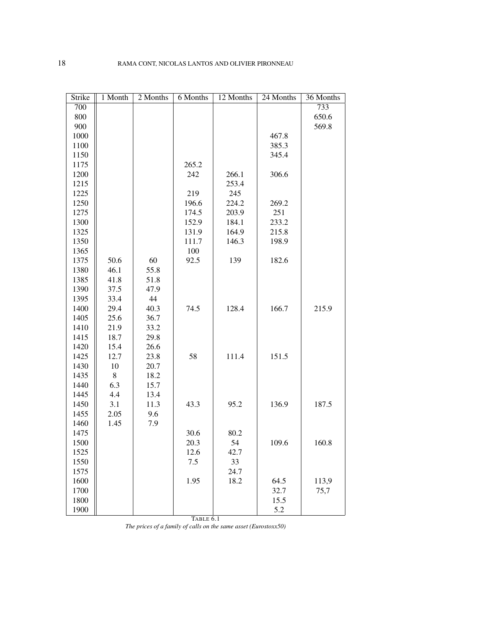| Strike | $1$ Month | 2 Months | 6 Months  | 12 Months | 24 Months | 36 Months |
|--------|-----------|----------|-----------|-----------|-----------|-----------|
| 700    |           |          |           |           |           | 733       |
| 800    |           |          |           |           |           | 650.6     |
| 900    |           |          |           |           |           | 569.8     |
| 1000   |           |          |           |           | 467.8     |           |
| 1100   |           |          |           |           | 385.3     |           |
| 1150   |           |          |           |           | 345.4     |           |
| 1175   |           |          | 265.2     |           |           |           |
| 1200   |           |          | 242       | 266.1     | 306.6     |           |
| 1215   |           |          |           | 253.4     |           |           |
| 1225   |           |          | 219       | 245       |           |           |
| 1250   |           |          | 196.6     | 224.2     | 269.2     |           |
| 1275   |           |          | 174.5     | 203.9     | 251       |           |
| 1300   |           |          | 152.9     | 184.1     | 233.2     |           |
| 1325   |           |          | 131.9     | 164.9     | 215.8     |           |
| 1350   |           |          | 111.7     | 146.3     | 198.9     |           |
| 1365   |           |          | 100       |           |           |           |
| 1375   | 50.6      | 60       | 92.5      | 139       | 182.6     |           |
| 1380   | 46.1      | 55.8     |           |           |           |           |
| 1385   | 41.8      | 51.8     |           |           |           |           |
| 1390   | 37.5      | 47.9     |           |           |           |           |
| 1395   | 33.4      | 44       |           |           |           |           |
| 1400   | 29.4      | 40.3     | 74.5      | 128.4     | 166.7     | 215.9     |
| 1405   | 25.6      | 36.7     |           |           |           |           |
| 1410   | 21.9      | 33.2     |           |           |           |           |
| 1415   | 18.7      | 29.8     |           |           |           |           |
| 1420   | 15.4      | 26.6     |           |           |           |           |
| 1425   | 12.7      | 23.8     | 58        | 111.4     | 151.5     |           |
| 1430   | 10        | 20.7     |           |           |           |           |
| 1435   | $8\,$     | 18.2     |           |           |           |           |
| 1440   | 6.3       | 15.7     |           |           |           |           |
| 1445   | 4.4       | 13.4     |           |           |           |           |
| 1450   | 3.1       | 11.3     | 43.3      | 95.2      | 136.9     | 187.5     |
| 1455   | 2.05      | 9.6      |           |           |           |           |
| 1460   | 1.45      | 7.9      |           |           |           |           |
| 1475   |           |          | 30.6      | 80.2      |           |           |
| 1500   |           |          | 20.3      | 54        | 109.6     | 160.8     |
| 1525   |           |          | 12.6      | 42.7      |           |           |
| 1550   |           |          | 7.5       | 33        |           |           |
| 1575   |           |          |           | 24.7      |           |           |
| 1600   |           |          | 1.95      | 18.2      | 64.5      | 113,9     |
| 1700   |           |          |           |           | 32.7      | 75,7      |
| 1800   |           |          |           |           | 15.5      |           |
| 1900   |           |          |           |           | 5.2       |           |
|        |           |          | TABLE 6.1 |           |           |           |

*The prices of a family of calls on the same asset (Eurostoxx50)*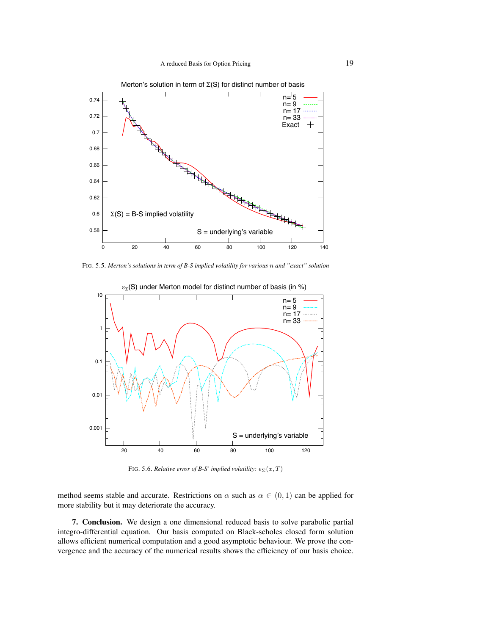

FIG. 5.5. *Merton's solutions in term of B-S implied volatility for various* n *and "exact" solution*



FIG. 5.6. *Relative error of B-S' implied volatility:*  $\epsilon_{\Sigma}(x,T)$ 

method seems stable and accurate. Restrictions on  $\alpha$  such as  $\alpha \in (0,1)$  can be applied for more stability but it may deteriorate the accuracy.

7. Conclusion. We design a one dimensional reduced basis to solve parabolic partial integro-differential equation. Our basis computed on Black-scholes closed form solution allows efficient numerical computation and a good asymptotic behaviour. We prove the convergence and the accuracy of the numerical results shows the efficiency of our basis choice.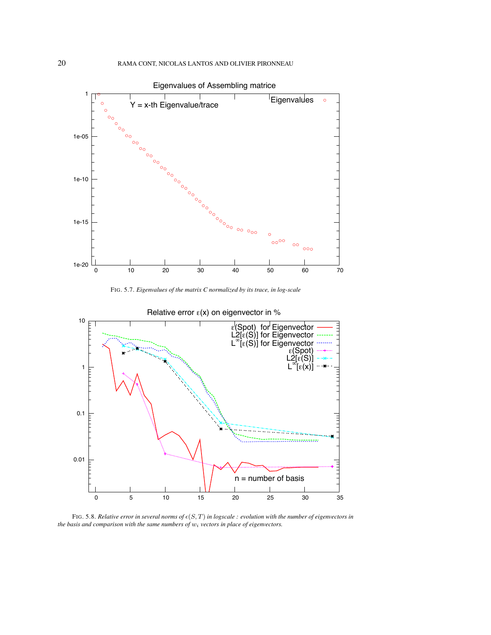

FIG. 5.7. *Eigenvalues of the matrix C normalized by its trace, in log-scale*



Relative error  $\varepsilon(x)$  on eigenvector in %

FIG. 5.8. *Relative error in several norms of*  $\epsilon(S, T)$  *in logscale : evolution with the number of eigenvectors in the basis and comparison with the same numbers of*  $w_i$  *vectors in place of eigenvectors.*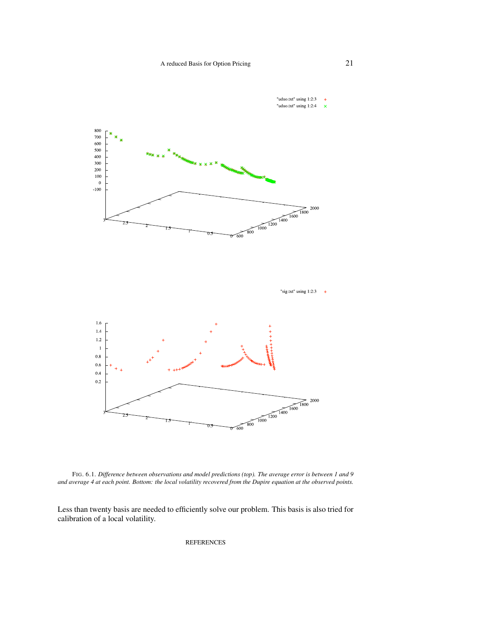

FIG. 6.1. *Difference between observations and model predictions (top). The average error is between 1 and 9 and average 4 at each point. Bottom: the local volatility recovered from the Dupire equation at the observed points.*

Less than twenty basis are needed to efficiently solve our problem. This basis is also tried for calibration of a local volatility.

**REFERENCES**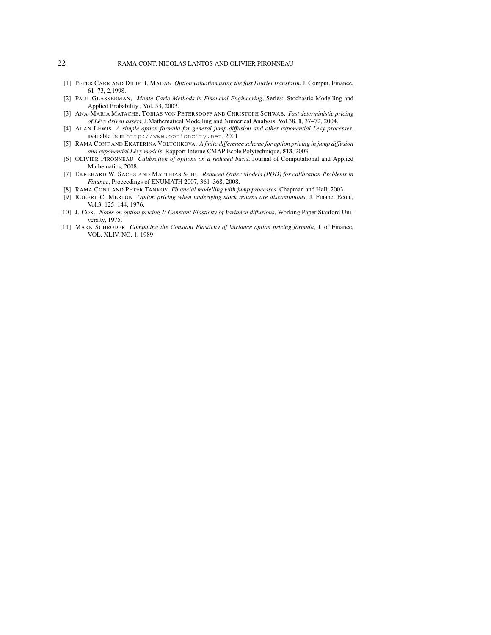# 22 RAMA CONT, NICOLAS LANTOS AND OLIVIER PIRONNEAU

- [1] PETER CARR AND DILIP B. MADAN *Option valuation using the fast Fourier transform*, J. Comput. Finance, 61–73, 2,1998.
- [2] PAUL GLASSERMAN, *Monte Carlo Methods in Financial Engineering*, Series: Stochastic Modelling and Applied Probability , Vol. 53, 2003.
- [3] ANA-MARIA MATACHE, TOBIAS VON PETERSDOFF AND CHRISTOPH SCHWAB, *Fast deterministic pricing of Levy driven assets ´* , J.Mathematical Modelling and Numerical Analysis, Vol.38, 1, 37–72, 2004.
- [4] ALAN LEWIS *A simple option formula for general jump-diffusion and other exponential Levy processes. ´* available from http://www.optioncity.net, 2001
- [5] RAMA CONT AND EKATERINA VOLTCHKOVA, *A finite difference scheme for option pricing in jump diffusion and exponential Lévy models*, Rapport Interne CMAP Ecole Polytechnique, 513, 2003.
- [6] OLIVIER PIRONNEAU *Calibration of options on a reduced basis*, Journal of Computational and Applied Mathematics, 2008.
- [7] EKKEHARD W. SACHS AND MATTHIAS SCHU *Reduced Order Models (POD) for calibration Problems in Finance*, Proceedings of ENUMATH 2007, 361–368, 2008.
- [8] RAMA CONT AND PETER TANKOV *Financial modelling with jump processes*, Chapman and Hall, 2003.
- [9] ROBERT C. MERTON *Option pricing when underlying stock returns are discontinuous*, J. Financ. Econ., Vol.3, 125–144, 1976.
- [10] J. COX. *Notes on option pricing I: Constant Elasticity of Variance diffusions*, Working Paper Stanford University, 1975.
- [11] MARK SCHRODER *Computing the Constant Elasticity of Variance option pricing formula*, J. of Finance, VOL. XLIV, NO. 1, 1989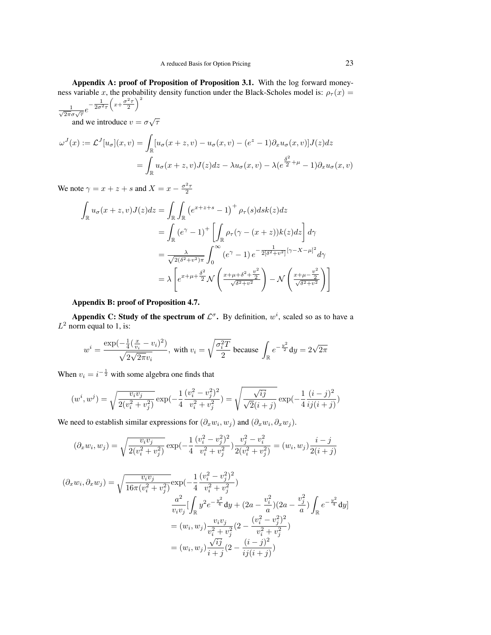Appendix A: proof of Proposition of Proposition 3.1. With the log forward moneyness variable x, the probability density function under the Black-Scholes model is:  $\rho_{\tau}(x)$  =  $\setminus^2$ 

 $\frac{1}{\sqrt{2\pi}\sigma\sqrt{\tau}}e^{-\frac{1}{2\sigma^2\tau}\left(x+\frac{\sigma^2\tau}{2}\right)}$ 

and we introduce  $v = \sigma \sqrt{\tau}$ √

$$
\omega^{J}(x) := \mathcal{L}^{J}[u_{\sigma}](x, v) = \int_{\mathbb{R}} [u_{\sigma}(x + z, v) - u_{\sigma}(x, v) - (e^{z} - 1)\partial_{x}u_{\sigma}(x, v)]J(z)dz
$$
  

$$
= \int_{\mathbb{R}} u_{\sigma}(x + z, v)J(z)dz - \lambda u_{\sigma}(x, v) - \lambda(e^{\frac{\delta^{2}}{2} + \mu} - 1)\partial_{x}u_{\sigma}(x, v)
$$

We note  $\gamma = x + z + s$  and  $X = x - \frac{\sigma^2 \tau}{2}$ 

$$
\int_{\mathbb{R}} u_{\sigma}(x+z,v)J(z)dz = \int_{\mathbb{R}} \int_{\mathbb{R}} \left( e^{x+z+s} - 1 \right)^{+} \rho_{\tau}(s)ds k(z)dz
$$
\n
$$
= \int_{\mathbb{R}} \left( e^{\gamma} - 1 \right)^{+} \left[ \int_{\mathbb{R}} \rho_{\tau}(\gamma - (x+z))k(z)dz \right] d\gamma
$$
\n
$$
= \frac{\lambda}{\sqrt{2(\delta^{2}+v^{2})\pi}} \int_{0}^{\infty} \left( e^{\gamma} - 1 \right) e^{-\frac{1}{2[\delta^{2}+v^{2}]}[\gamma - X - \mu]^{2}} d\gamma
$$
\n
$$
= \lambda \left[ e^{x+\mu+\frac{\delta^{2}}{2}} \mathcal{N} \left( \frac{x+\mu+\delta^{2}+\frac{v^{2}}{2}}{\sqrt{\delta^{2}+v^{2}}} \right) - \mathcal{N} \left( \frac{x+\mu-\frac{v^{2}}{2}}{\sqrt{\delta^{2}+v^{2}}} \right) \right]
$$

### Appendix B: proof of Proposition 4.7.

Appendix C: Study of the spectrum of  $\mathcal{L}^{\sigma}$ . By definition,  $w^{i}$ , scaled so as to have a  $L^2$  norm equal to 1, is:

$$
w^i = \frac{\exp(-\frac{1}{4}(\frac{x}{v_i} - v_i)^2)}{\sqrt{2\sqrt{2\pi}v_i}}, \text{ with } v_i = \sqrt{\frac{\sigma_i^2 T}{2}} \text{ because } \int_{\mathbb{R}} e^{-\frac{y^2}{2}} dy = 2\sqrt{2\pi}
$$

When  $v_i = i^{-\frac{1}{2}}$  with some algebra one finds that

$$
(w^i, w^j) = \sqrt{\frac{v_i v_j}{2(v_i^2 + v_j^2)}} \exp\left(-\frac{1}{4} \frac{(v_i^2 - v_j^2)^2}{v_i^2 + v_j^2}\right) = \sqrt{\frac{\sqrt{i j}}{\sqrt{2}(i + j)}} \exp\left(-\frac{1}{4} \frac{(i - j)^2}{i j (i + j)}\right)
$$

We need to establish similar expressions for  $(\partial_x w_i, w_j)$  and  $(\partial_x w_i, \partial_x w_j)$ .

$$
(\partial_x w_i, w_j) = \sqrt{\frac{v_i v_j}{2(v_i^2 + v_j^2)}} \exp\left(-\frac{1}{4} \frac{(v_i^2 - v_j^2)^2}{v_i^2 + v_j^2}\right) \frac{v_j^2 - v_i^2}{2(v_i^2 + v_j^2)} = (w_i, w_j) \frac{i - j}{2(i + j)}
$$

$$
(\partial_x w_i, \partial_x w_j) = \sqrt{\frac{v_i v_j}{16\pi (v_i^2 + v_j^2)}} \exp(-\frac{1}{4} \frac{(v_i^2 - v_j^2)^2}{v_i^2 + v_j^2})
$$
  

$$
\frac{a^2}{v_i v_j} \left[ \int_{\mathbb{R}} y^2 e^{-\frac{y^2}{4}} dy + (2a - \frac{v_i^2}{a})(2a - \frac{v_j^2}{a}) \int_{\mathbb{R}} e^{-\frac{y^2}{4}} dy \right]
$$
  

$$
= (w_i, w_j) \frac{v_i v_j}{v_i^2 + v_j^2} (2 - \frac{(v_i^2 - v_j^2)^2}{v_i^2 + v_j^2})
$$
  

$$
= (w_i, w_j) \frac{\sqrt{i j}}{i + j} (2 - \frac{(i - j)^2}{i j (i + j)})
$$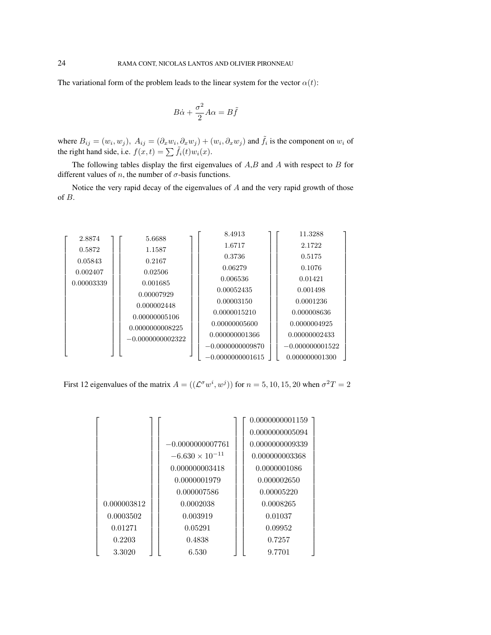The variational form of the problem leads to the linear system for the vector  $\alpha(t)$ :

$$
B\dot{\alpha} + \frac{\sigma^2}{2}A\alpha = B\tilde{f}
$$

where  $B_{ij} = (w_i, w_j)$ ,  $A_{ij} = (\partial_x w_i, \partial_x w_j) + (w_i, \partial_x w_j)$  and  $\tilde{f}_i$  is the component on  $w_i$  of the right hand side, i.e.  $f(x, t) = \sum \tilde{f}_i(t)w_i(x)$ .

The following tables display the first eigenvalues of  $A, B$  and  $A$  with respect to  $B$  for different values of *n*, the number of  $\sigma$ -basis functions.

Notice the very rapid decay of the eigenvalues of  $A$  and the very rapid growth of those of B.

| 2.8874     | 5.6688             | 8.4913             | 11.3288           |
|------------|--------------------|--------------------|-------------------|
| 0.5872     | 1.1587             | 1.6717             | 2.1722            |
|            |                    | 0.3736             | 0.5175            |
| 0.05843    | 0.2167             | 0.06279            | 0.1076            |
| 0.002407   | 0.02506            | 0.006536           | 0.01421           |
| 0.00003339 | 0.001685           |                    |                   |
|            | 0.00007929         | 0.00052435         | 0.001498          |
|            | 0.000002448        | 0.00003150         | 0.0001236         |
|            | 0.00000005106      | 0.0000015210       | 0.000008636       |
|            | 0.0000000008225    | 0.00000005600      | 0.0000004925      |
|            | $-0.0000000002322$ | 0.000000001366     | 0.00000002433     |
|            |                    | $-0.0000000009870$ | $-0.000000001522$ |
|            |                    | $-0.0000000001615$ | 0.000000001300    |

First 12 eigenvalues of the matrix  $A = ((\mathcal{L}^{\sigma} w^{i}, w^{j}))$  for  $n = 5, 10, 15, 20$  when  $\sigma^{2} T = 2$ 

|             |                          | 0.0000000001159 |
|-------------|--------------------------|-----------------|
|             |                          | 0.0000000005094 |
|             | $-0.0000000007761$       | 0.0000000009339 |
|             | $-6.630 \times 10^{-11}$ | 0.000000003368  |
|             | 0.000000003418           | 0.0000001086    |
|             | 0.0000001979             | 0.000002650     |
|             | 0.000007586              | 0.00005220      |
| 0.000003812 | 0.0002038                | 0.0008265       |
| 0.0003502   | 0.003919                 | 0.01037         |
| 0.01271     | 0.05291                  | 0.09952         |
| 0.2203      | 0.4838                   | 0.7257          |
| 3.3020      | 6.530                    | 9.7701          |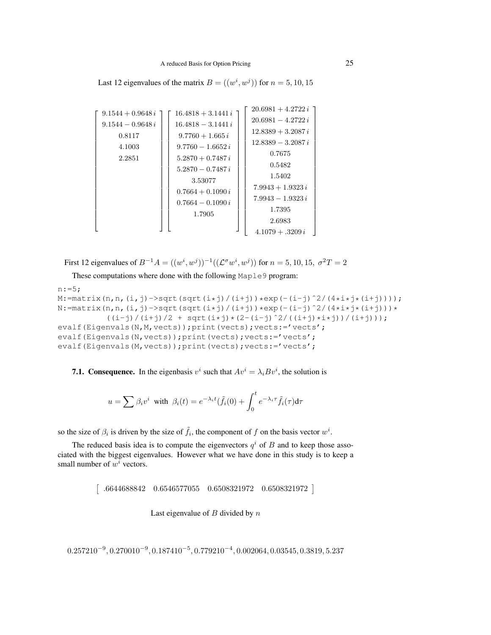Last 12 eigenvalues of the matrix  $B = ((w^i, w^j))$  for  $n = 5, 10, 15$ 

| $9.1544 + 0.9648 i$<br>$9.1544 - 0.9648 i$<br>0.8117<br>4.1003<br>2.2851 | $16.4818 + 3.1441i$<br>$16.4818 - 3.1441 i$<br>$9.7760 + 1.665 i$<br>$9.7760 - 1.6652 i$<br>$5.2870 + 0.7487 i$<br>$5.2870 - 0.7487i$<br>3.53077<br>$0.7664 + 0.1090 i$<br>$0.7664 - 0.1090 i$<br>1.7905 | $20.6981 + 4.2722 i$<br>$20.6981 - 4.2722 i$<br>$12.8389 + 3.2087 i$<br>$12.8389 - 3.2087i$<br>0.7675<br>0.5482<br>1.5402<br>$7.9943 + 1.9323 i$<br>$7.9943 - 1.9323 i$<br>1.7395 |
|--------------------------------------------------------------------------|----------------------------------------------------------------------------------------------------------------------------------------------------------------------------------------------------------|-----------------------------------------------------------------------------------------------------------------------------------------------------------------------------------|
|                                                                          |                                                                                                                                                                                                          | 2.6983<br>$4.1079 + .3209 i$                                                                                                                                                      |

First 12 eigenvalues of  $B^{-1}A = ((w^i, w^j))^{-1}((\mathcal{L}^{\sigma}w^i, w^j))$  for  $n = 5, 10, 15, \sigma^2T = 2$ 

These computations where done with the following Maple9 program:

```
n:=5;M:=matrix(n,n,(i,j)->sqrt(sqrt(i*j)/(i+j))*exp(-(i-j)^2/(4*i*j*(i+j))));
N:=matrix(n,n,(i,j)->sqrt(sqrt(i*j)/(i+j))*exp(-(i-j)^2/(4*i*j*(i+j)))*
          ((i-j)/(i+j)/2 + sqrt(i+j)*(2-(i-j)^2/((i+j)*i+j))/(i+j)));
evalf(Eigenvals(N,M, vects));print(vects);vects:='vects';
evalf(Eigenvals(N, vects)); print(vects); vects: =' vects';
evalf(Eigenvals(M, vects)); print(vects); vects: ='vects';
```
**7.1. Consequence.** In the eigenbasis  $v^i$  such that  $Av^i = \lambda_i B v^i$ , the solution is

$$
u = \sum \beta_i v^i \text{ with } \beta_i(t) = e^{-\lambda_i t} (\tilde{f}_i(0) + \int_0^t e^{-\lambda_i \tau} \tilde{f}_i(\tau) d\tau)
$$

so the size of  $\beta_i$  is driven by the size of  $\tilde{f}_i$ , the component of f on the basis vector  $w^i$ .

The reduced basis idea is to compute the eigenvectors  $q<sup>i</sup>$  of B and to keep those associated with the biggest eigenvalues. However what we have done in this study is to keep a small number of  $w^i$  vectors.

- .6644688842 0.6546577055 0.6508321972 0.6508321972

Last eigenvalue of  $B$  divided by  $n$ 

 $0.257210^{-9}, 0.270010^{-9}, 0.187410^{-5}, 0.779210^{-4}, 0.002064, 0.03545, 0.3819, 5.237$